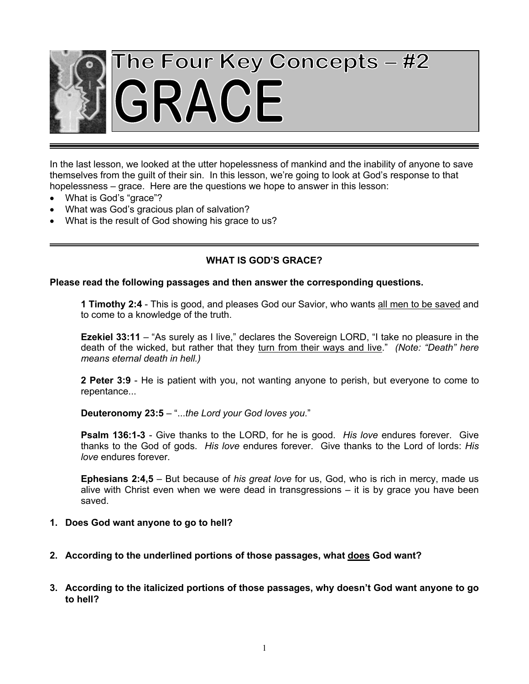

In the last lesson, we looked at the utter hopelessness of mankind and the inability of anyone to save themselves from the guilt of their sin. In this lesson, we're going to look at God's response to that hopelessness – grace. Here are the questions we hope to answer in this lesson:

- What is God's "grace"?
- What was God's gracious plan of salvation?
- What is the result of God showing his grace to us?

## **WHAT IS GOD'S GRACE?**

#### **Please read the following passages and then answer the corresponding questions.**

**1 Timothy 2:4** - This is good, and pleases God our Savior, who wants all men to be saved and to come to a knowledge of the truth.

**Ezekiel 33:11** – "As surely as I live," declares the Sovereign LORD, "I take no pleasure in the death of the wicked, but rather that they turn from their ways and live." *(Note: "Death" here means eternal death in hell.)*

**2 Peter 3:9** - He is patient with you, not wanting anyone to perish, but everyone to come to repentance...

**Deuteronomy 23:5** – "...*the Lord your God loves you*."

**Psalm 136:1-3** - Give thanks to the LORD, for he is good. *His love* endures forever. Give thanks to the God of gods. *His love* endures forever. Give thanks to the Lord of lords: *His love* endures forever.

**Ephesians 2:4,5** – But because of *his great love* for us, God, who is rich in mercy, made us alive with Christ even when we were dead in transgressions – it is by grace you have been saved.

- **1. Does God want anyone to go to hell?**
- **2. According to the underlined portions of those passages, what does God want?**
- **3. According to the italicized portions of those passages, why doesn't God want anyone to go to hell?**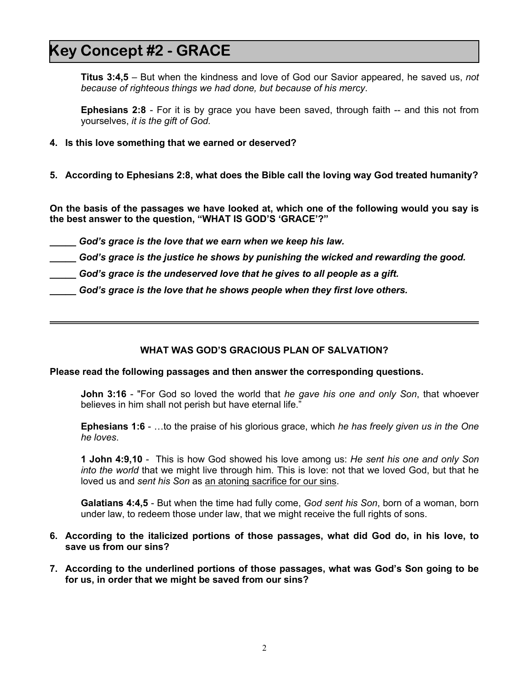# **Key Concept #2 - GRACE**

**Titus 3:4,5** – But when the kindness and love of God our Savior appeared, he saved us, *not because of righteous things we had done, but because of his mercy*.

**Ephesians 2:8** - For it is by grace you have been saved, through faith -- and this not from yourselves, *it is the gift of God.*

- **4. Is this love something that we earned or deserved?**
- **5. According to Ephesians 2:8, what does the Bible call the loving way God treated humanity?**

**On the basis of the passages we have looked at, which one of the following would you say is the best answer to the question, "WHAT IS GOD'S 'GRACE'?"**

- *\_\_\_\_\_ God's grace is the love that we earn when we keep his law.*
- *\_\_\_\_\_ God's grace is the justice he shows by punishing the wicked and rewarding the good.*
- *\_\_\_\_\_ God's grace is the undeserved love that he gives to all people as a gift.*
- *\_\_\_\_\_ God's grace is the love that he shows people when they first love others.*

### **WHAT WAS GOD'S GRACIOUS PLAN OF SALVATION?**

#### **Please read the following passages and then answer the corresponding questions.**

**John 3:16** - "For God so loved the world that *he gave his one and only Son*, that whoever believes in him shall not perish but have eternal life."

**Ephesians 1:6** - …to the praise of his glorious grace, which *he has freely given us in the One he loves*.

**1 John 4:9,10** - This is how God showed his love among us: *He sent his one and only Son into the world* that we might live through him. This is love: not that we loved God, but that he loved us and *sent his Son* as an atoning sacrifice for our sins.

**Galatians 4:4,5** - But when the time had fully come, *God sent his Son*, born of a woman, born under law, to redeem those under law, that we might receive the full rights of sons.

- **6. According to the italicized portions of those passages, what did God do, in his love, to save us from our sins?**
- **7. According to the underlined portions of those passages, what was God's Son going to be for us, in order that we might be saved from our sins?**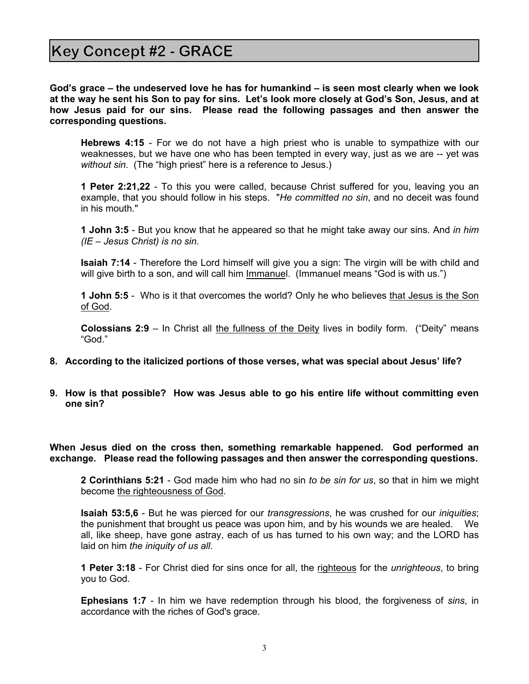**God's grace – the undeserved love he has for humankind – is seen most clearly when we look at the way he sent his Son to pay for sins. Let's look more closely at God's Son, Jesus, and at how Jesus paid for our sins. Please read the following passages and then answer the corresponding questions.**

**Hebrews 4:15** - For we do not have a high priest who is unable to sympathize with our weaknesses, but we have one who has been tempted in every way, just as we are -- yet was *without sin*. (The "high priest" here is a reference to Jesus.)

**1 Peter 2:21,22** - To this you were called, because Christ suffered for you, leaving you an example, that you should follow in his steps. "*He committed no sin*, and no deceit was found in his mouth."

**1 John 3:5** - But you know that he appeared so that he might take away our sins. And *in him (IE – Jesus Christ) is no sin.*

**Isaiah 7:14** - Therefore the Lord himself will give you a sign: The virgin will be with child and will give birth to a son, and will call him Immanuel. (Immanuel means "God is with us.")

**1 John 5:5** - Who is it that overcomes the world? Only he who believes that Jesus is the Son of God.

**Colossians 2:9** – In Christ all the fullness of the Deity lives in bodily form. ("Deity" means "God."

- **8. According to the italicized portions of those verses, what was special about Jesus' life?**
- **9. How is that possible? How was Jesus able to go his entire life without committing even one sin?**

**When Jesus died on the cross then, something remarkable happened. God performed an exchange. Please read the following passages and then answer the corresponding questions.**

**2 Corinthians 5:21** - God made him who had no sin *to be sin for us*, so that in him we might become the righteousness of God.

**Isaiah 53:5,6** - But he was pierced for our *transgressions*, he was crushed for our *iniquities*; the punishment that brought us peace was upon him, and by his wounds we are healed. We all, like sheep, have gone astray, each of us has turned to his own way; and the LORD has laid on him *the iniquity of us all*.

**1 Peter 3:18** - For Christ died for sins once for all, the righteous for the *unrighteous*, to bring you to God.

**Ephesians 1:7** - In him we have redemption through his blood, the forgiveness of *sins*, in accordance with the riches of God's grace.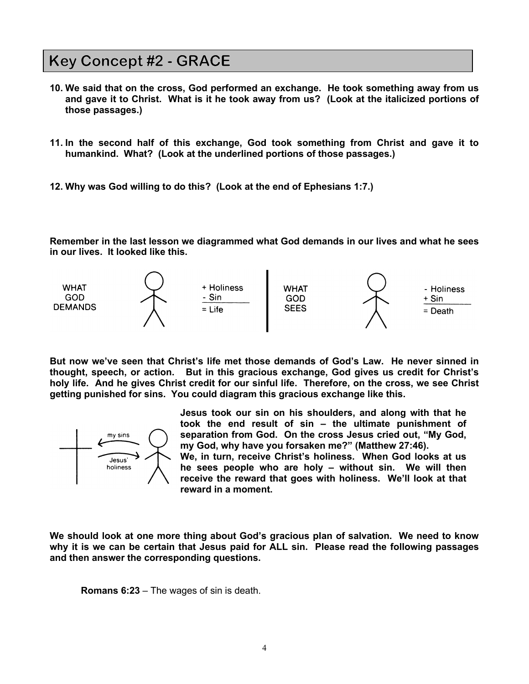# **Key Concept #2 - GRACE**

- **10. We said that on the cross, God performed an exchange. He took something away from us and gave it to Christ. What is it he took away from us? (Look at the italicized portions of those passages.)**
- **11. In the second half of this exchange, God took something from Christ and gave it to humankind. What? (Look at the underlined portions of those passages.)**
- **12. Why was God willing to do this? (Look at the end of Ephesians 1:7.)**

**Remember in the last lesson we diagrammed what God demands in our lives and what he sees in our lives. It looked like this.**



**But now we've seen that Christ's life met those demands of God's Law. He never sinned in thought, speech, or action. But in this gracious exchange, God gives us credit for Christ's holy life. And he gives Christ credit for our sinful life. Therefore, on the cross, we see Christ getting punished for sins. You could diagram this gracious exchange like this.**



**Jesus took our sin on his shoulders, and along with that he took the end result of sin – the ultimate punishment of separation from God. On the cross Jesus cried out, "My God, my God, why have you forsaken me?" (Matthew 27:46). We, in turn, receive Christ's holiness. When God looks at us he sees people who are holy – without sin. We will then receive the reward that goes with holiness. We'll look at that reward in a moment.**

**We should look at one more thing about God's gracious plan of salvation. We need to know why it is we can be certain that Jesus paid for ALL sin. Please read the following passages and then answer the corresponding questions.**

**Romans 6:23** – The wages of sin is death.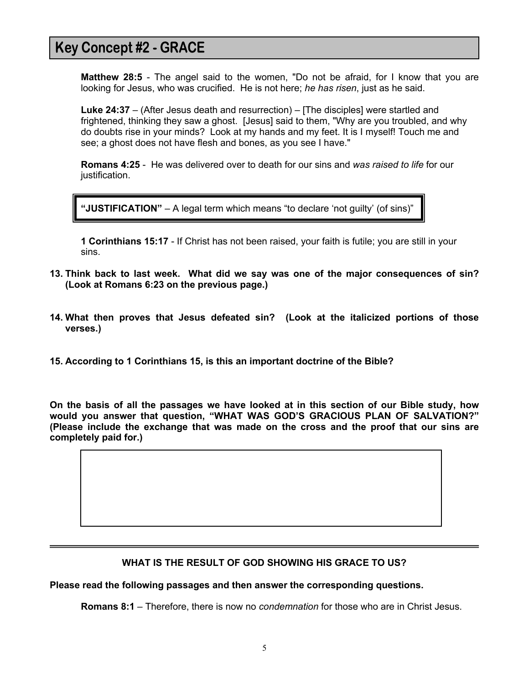# **Key Concept #2 - GRACE**

**Matthew 28:5** - The angel said to the women, "Do not be afraid, for I know that you are looking for Jesus, who was crucified. He is not here; *he has risen*, just as he said.

**Luke 24:37** – (After Jesus death and resurrection) – [The disciples] were startled and frightened, thinking they saw a ghost. [Jesus] said to them, "Why are you troubled, and why do doubts rise in your minds? Look at my hands and my feet. It is I myself! Touch me and see; a ghost does not have flesh and bones, as you see I have."

**Romans 4:25** - He was delivered over to death for our sins and *was raised to life* for our justification.

**"JUSTIFICATION"** – A legal term which means "to declare 'not guilty' (of sins)"

**1 Corinthians 15:17** - If Christ has not been raised, your faith is futile; you are still in your sins.

- **13. Think back to last week. What did we say was one of the major consequences of sin? (Look at Romans 6:23 on the previous page.)**
- **14. What then proves that Jesus defeated sin? (Look at the italicized portions of those verses.)**
- **15. According to 1 Corinthians 15, is this an important doctrine of the Bible?**

**On the basis of all the passages we have looked at in this section of our Bible study, how would you answer that question, "WHAT WAS GOD'S GRACIOUS PLAN OF SALVATION?" (Please include the exchange that was made on the cross and the proof that our sins are completely paid for.)**

### **WHAT IS THE RESULT OF GOD SHOWING HIS GRACE TO US?**

**Please read the following passages and then answer the corresponding questions.**

**Romans 8:1** – Therefore, there is now no *condemnation* for those who are in Christ Jesus.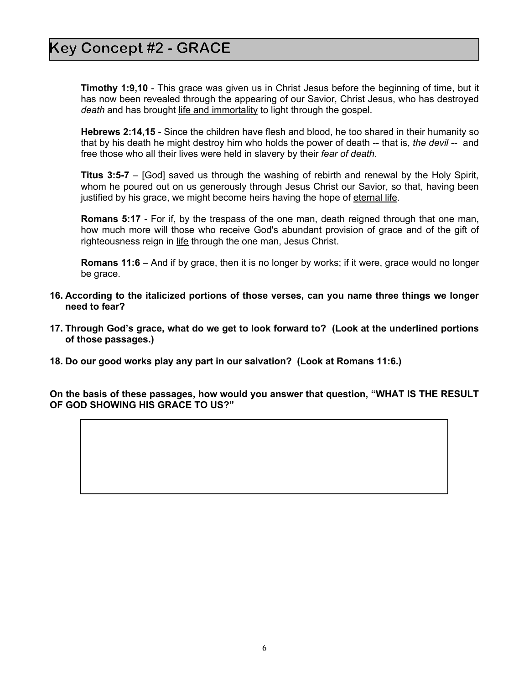**Timothy 1:9,10** - This grace was given us in Christ Jesus before the beginning of time, but it has now been revealed through the appearing of our Savior, Christ Jesus, who has destroyed *death* and has brought life and immortality to light through the gospel.

**Hebrews 2:14,15** - Since the children have flesh and blood, he too shared in their humanity so that by his death he might destroy him who holds the power of death -- that is, *the devil* -- and free those who all their lives were held in slavery by their *fear of death*.

**Titus 3:5-7** – [God] saved us through the washing of rebirth and renewal by the Holy Spirit, whom he poured out on us generously through Jesus Christ our Savior, so that, having been justified by his grace, we might become heirs having the hope of eternal life.

**Romans 5:17** - For if, by the trespass of the one man, death reigned through that one man, how much more will those who receive God's abundant provision of grace and of the gift of righteousness reign in life through the one man, Jesus Christ.

**Romans 11:6** – And if by grace, then it is no longer by works; if it were, grace would no longer be grace.

- **16. According to the italicized portions of those verses, can you name three things we longer need to fear?**
- **17. Through God's grace, what do we get to look forward to? (Look at the underlined portions of those passages.)**
- **18. Do our good works play any part in our salvation? (Look at Romans 11:6.)**

**On the basis of these passages, how would you answer that question, "WHAT IS THE RESULT OF GOD SHOWING HIS GRACE TO US?"**